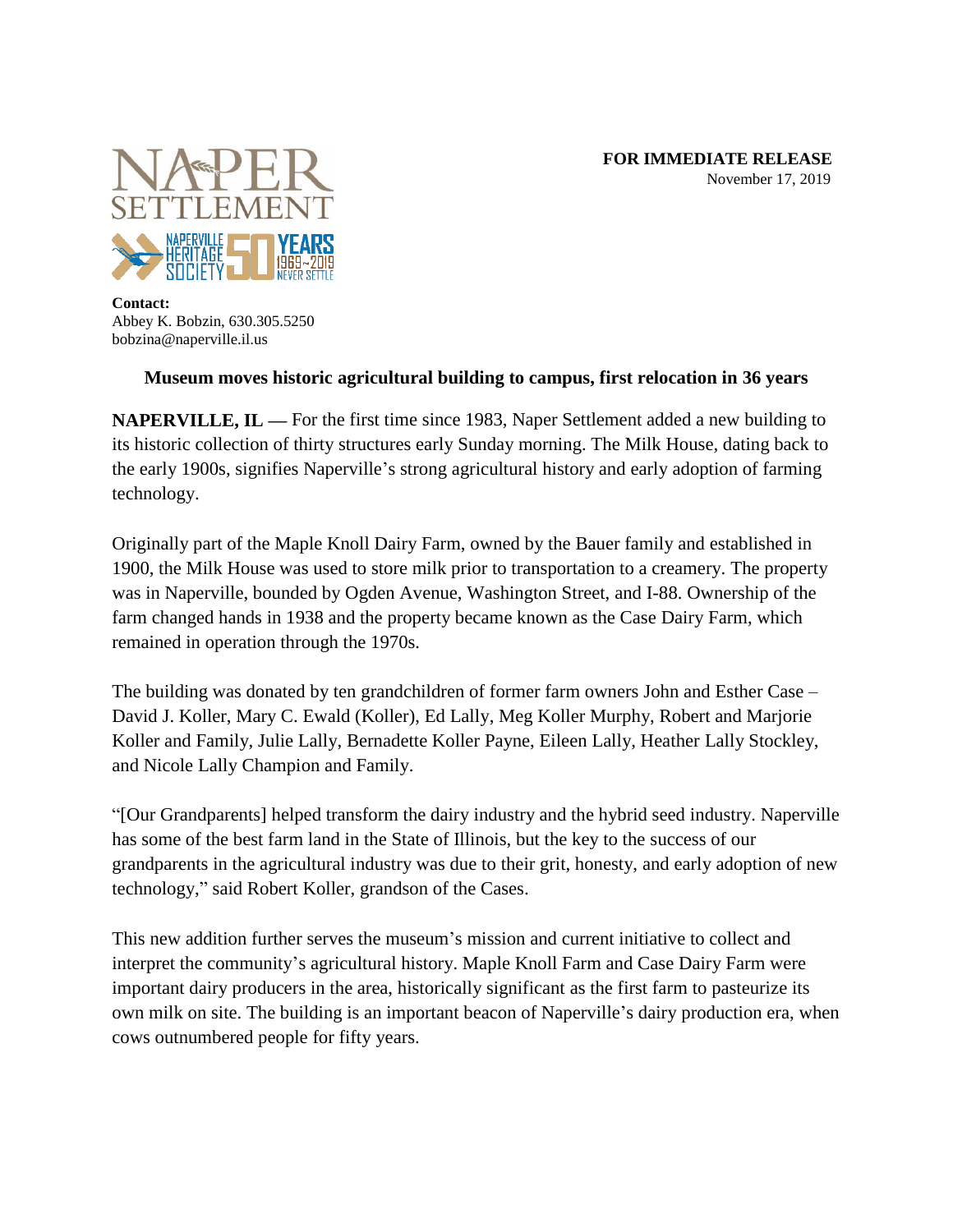

**Contact:** Abbey K. Bobzin, 630.305.5250 bobzina@naperville.il.us

## **Museum moves historic agricultural building to campus, first relocation in 36 years**

**NAPERVILLE, IL** — For the first time since 1983, Naper Settlement added a new building to its historic collection of thirty structures early Sunday morning. The Milk House, dating back to the early 1900s, signifies Naperville's strong agricultural history and early adoption of farming technology.

Originally part of the Maple Knoll Dairy Farm, owned by the Bauer family and established in 1900, the Milk House was used to store milk prior to transportation to a creamery. The property was in Naperville, bounded by Ogden Avenue, Washington Street, and I-88. Ownership of the farm changed hands in 1938 and the property became known as the Case Dairy Farm, which remained in operation through the 1970s.

The building was donated by ten grandchildren of former farm owners John and Esther Case – David J. Koller, Mary C. Ewald (Koller), Ed Lally, Meg Koller Murphy, Robert and Marjorie Koller and Family, Julie Lally, Bernadette Koller Payne, Eileen Lally, Heather Lally Stockley, and Nicole Lally Champion and Family.

"[Our Grandparents] helped transform the dairy industry and the hybrid seed industry. Naperville has some of the best farm land in the State of Illinois, but the key to the success of our grandparents in the agricultural industry was due to their grit, honesty, and early adoption of new technology," said Robert Koller, grandson of the Cases.

This new addition further serves the museum's mission and current initiative to collect and interpret the community's agricultural history. Maple Knoll Farm and Case Dairy Farm were important dairy producers in the area, historically significant as the first farm to pasteurize its own milk on site. The building is an important beacon of Naperville's dairy production era, when cows outnumbered people for fifty years.